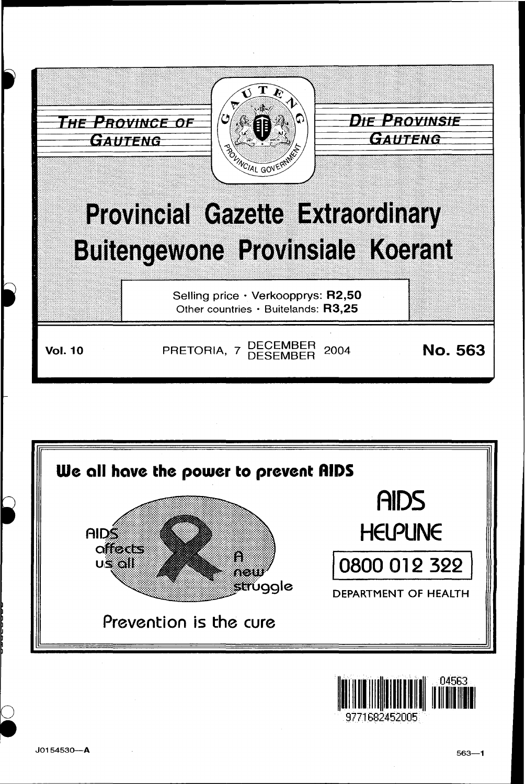



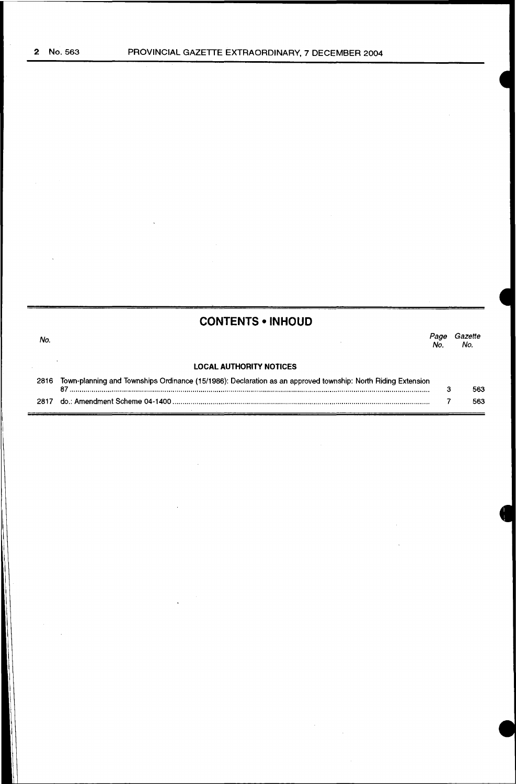|      | <b>CONTENTS • INHOUD</b>                                                                                                 |            |                |
|------|--------------------------------------------------------------------------------------------------------------------------|------------|----------------|
| No.  |                                                                                                                          | Paoe<br>Nο | Gazette<br>No. |
|      | <b>LOCAL AUTHORITY NOTICES</b>                                                                                           |            |                |
|      | 2816 Town-planning and Townships Ordinance (15/1986): Declaration as an approved township: North Riding Extension<br>87. | з          | 563            |
| 2817 |                                                                                                                          |            | 563            |

 $\mathcal{A}^{\mathcal{A}}$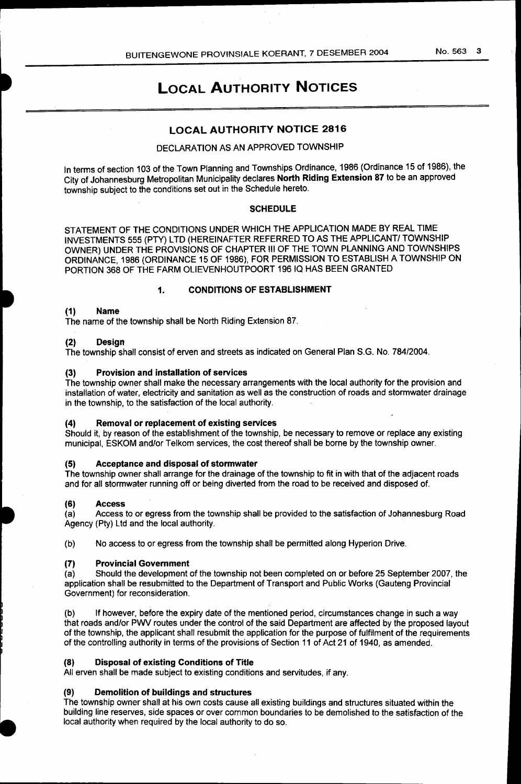#### No. 563 3

# LOCAL AUTHORITY NOTICES

# LOCAL AUTHORITY NOTICE 2816

# DECLARATION AS AN APPROVED TOWNSHIP

In terms of section 103 of the Town Planning and Townships Ordinance, 1986 (Ordinance 15 of 1986), the City of Johannesburg Metropolitan Municipality declares North Riding Extension 87 to be an approved township subject to the conditions set out in the Schedule hereto.

#### **SCHEDULE**

STATEMENT OF THE CONDITIONS UNDER WHICH THE APPLICATION MADE BY REAL TIME INVESTMENTS 555 (PTY) LTD (HEREINAFTER REFERRED TO AS THE APPLICANT/ TOWNSHIP OWNER) UNDER THE PROVISIONS OF CHAPTER Ill OF THE TOWN PLANNING AND TOWNSHIPS ORDINANCE, 1986 (ORDINANCE 15 OF 1986), FOR PERMISSION TO ESTABLISH A TOWNSHIP ON PORTION 368 OF THE FARM OLIEVENHOUTPOORT 19610 HAS BEEN GRANTED

#### 1. CONDITIONS OF ESTABLISHMENT

#### (1) Name

The name of the township shall be North Riding Extension 87.

#### (2) Design

The township shall consist of erven and streets as indicated on General Plan S.G. No. 784/2004.

#### (3) Provision and installation of services

The township owner shall make the necessary arrangements with the local authority for the provision and installation of water, electricity and sanitation as well as the construction of roads and stormwater drainage in the township, to the satisfaction of the local authority.

#### (4) Removal or replacement of existing services

Should it, by reason of the establishment of the township, be necessary to remove or replace any existing municipal, ESKOM and/or Telkom services, the cost thereof shall be borne by the township owner.

#### (5) Acceptance and disposal of stormwater

The township owner shall arrange for the drainage of the township to fit in with that of the adjacent roads and for all stormwater running off or being diverted from the road to be received and disposed of.

(6) Access<br>(a) Access Access to or egress from the township shall be provided to the satisfaction of Johannesburg Road Agency (Pty) Ltd and the local authority.

(b) No access to or egress from the township shall be permitted along Hyperion Drive.

(7) Provincial Government<br>(a) Should the development Should the development of the township not been completed on or before 25 September 2007, the application shall be resubmitted to the Department of Transport and Public Works (Gauteng Provincial Government) for reconsideration.

(b) If however, before the expiry date of the mentioned period, circumstances change in such a way that roads and/or PWV routes under the control of the said Department are affected by the proposed layout of the township, the applicant shall resubmit the application for the purpose of fulfilment of the requirements of the controlling authority in terms of the provisions of Section 11 of Act 21 of 1940, as amended.

#### (8) Disposal of existing Conditions of Title

All erven shall be made subject to existing conditions and servitudes, if any.

#### (9) Demolition of buildings and structures

The township owner shall at his own costs cause all existing buildings and structures situated within the building line reserves, side spaces or over common boundaries to be demolished to the satisfaction of the local authority when required by the local authority to do so.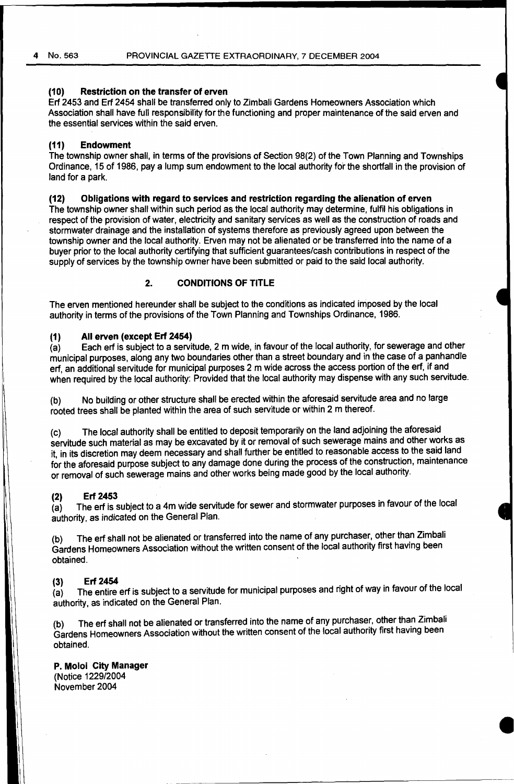#### **(10) Restriction on the transfer of erven**

Erf 2453 and Erf 2454 shall be transferred only to Zimbali Gardens Homeowners Association which Association shall have full responsibility for the functioning and proper maintenance of the said erven and the essential services within the said erven.

#### **(11) Endowment**

The township owner shall, in terms of the provisions of Section 98(2) of the Town Planning and Townships Ordinance, 15 of 1986, pay a lump sum endowment to the local authority for the shortfall in the provision of land for a park.

#### **(12) Obligations with regard to services and restriction regarding the alienation of erven**

The township owner shall within such period as the local authority may determine, fulfil his obligations in respect of the provision of water, electricity and sanitary services as well as the construction of roads and stormwater drainage and the installation of systems therefore as previously agreed upon between the township owner and the local authority. Etven may not be alienated or be transferred into the name of a buyer prior to the local authority certifying that sufficient guarantees/cash contributions in respect of the supply of services by the township owner have been submitted or paid to the said local authority.

#### **2. CONDITIONS OF TITLE**

The erven mentioned hereunder shall be subject to the conditions as indicated imposed by the local authority in terms of the provisions of the Town Planning and Townships Ordinance, 1986.

#### **(1) All erven (except Erf 2454)**

(a) Each erf is subject to a servitude, 2 m wide, in favour of the local authority, for sewerage and other municipal purposes, along any two boundaries other than a street boundary arid in the case of a panhandle erf, an additional servitude for municipal purposes 2 m wide across the access portion of the erf, if and when required by the local authority: Provided that the local authority may dispense with any such servitude.

(b) No building or other structure shall be erected within the aforesaid servitude area and no large rooted trees shall be planted within the area of such servitude or within 2 m thereof.

(c) The local authority shall be entitled to deposit temporarily on the land adjoining the aforesaid servitude such material as may be excavated by it or removal of such sewerage mains and other works as it, in its discretion may deem necessary and shall further be entitled to reasonable access to the said land for the aforesaid purpose subject to any damage done during the process of the construction, maintenance or removal of such sewerage mains and other works being made good by the local authority.

#### **(2) Erf 2453**

(a) The erf is subject to a 4m wide servitude for sewer and stormwater purposes in favour of the local authority, as indicated on the General Plan.

(b) The erf shall not be alienated or transferred into the name of any purchaser, other than Zimbali Gardens Homeowners Association without the written consent of the local authority first having been obtained.

#### **(3) Erf 2454**

(a) The entire erf is subject to a servitude for municipal purposes and right of way in favour of the local authority, as indicated on the General Plan.

(b) The erf shall not be alienated or transferred into the name of any purchaser, other than Zimbali Gardens Homeowners Association without the written consent of the local authority first having been obtained.

#### **P. Moloi City Manager**

(Notice 1229/2004 November 2004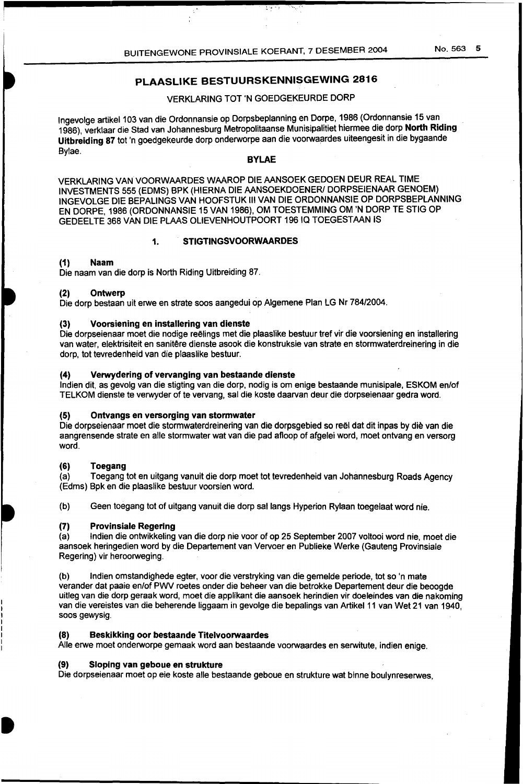# PLAASLIKE BESTUURSKENNISGEWING 2816

# VERKLARING TOT 'N GOEDGEKEURDE DORP

Ingevolge artikel 103 van die Ordonnansie op Dorpsbeplanning en Dorpe, 1986 (Ordonnansie 15 van 1986), verklaar die Stad van Johannesburg Metropolitaanse Munisipalitiet hiermee die dorp North Riding Uitbreiding 87 tot 'n goedgekeurde dorp onderworpe aan die voorwaardes uiteengesit in die bygaande Bylae.

#### BYLAE

VERKLARING VAN VOORWAARDES WAAROP DIE AANSOEK GEDOEN DEUR REAL TIME INVESTMENTS 555 (EDMS) BPK (HIERNA DIE AANSOEKDOENERI DORPSEIENAAR GENOEM) INGEVOLGE DIE BEPALINGS VAN HOOFSTUK Ill VAN DIE ORDONNANSIE OP DORPSBEPLANNING EN DORPE, 1986 (ORDONNANSIE 15 VAN 1986), OM TOESTEMMING OM 'N DORP TE STIG OP GEDEELTE 368 VAN DIE PLAAS OLIEVENHOUTPOORT 19610 TOEGESTAAN IS

#### 1. STIGTINGSVOORWAARDES

### (1) Naam

Die naam van die dorp is North Riding Uitbreiding 87.

#### (2) Ontwerp

Die dorp bestaan uit erwe en strate soos aangedui op Algemene Plan LG Nr 784/2004.

### (3) Voorsiening en installering van dienste

Die dorpseienaar moet die nodige reelings met die plaaslike bestuur tref vir die voorsiening en installering van water, elektrisiteit en sanitêre dienste asook die konstruksie van strate en stormwaterdreinering in die dorp, tot tevredenheid van die plaaslike bestuur.

### (4) Verwydering of vervanging van bestaande dienste

lndien dit, as gevolg van die stigting van die dorp, nodig is om enige bestaande munisipale, ESKOM en/of TELKOM dienste te verwyder of te vervang, sal die koste daarvan deur die dorpseienaar gedra word.

#### (5) Ontvangs en versorging van stormwater

Die dorpseienaar moet die stormwaterdreinering van die dorpsgebied so reël dat dit inpas by die van die aangrensende strate en aile stormwater wat van die pad afloop of afgelei word, moet ontvang en versorg word.

#### (6) Toegang

(a) Toegang tot en uitgang vanuit die dorp moet tot tevredenheid van Johannesburg Roads Agency (Edms) Bpk en die plaaslike bestuur voorsien word.

(b) Geen toegang tot of uitgang vanuit die dorp sallangs Hyperion Rylaan toegelaat word nie.

#### (7) Provinsiale Regering

(a) lndien die ontwikkeling van die dorp nie voor of op 25 September 2007 voltooi word nie, moet die aansoek heringedien word by die Departement van Vervoer en Publieke Werke (Gauteng Provinsiale Regering) vir heroorweging.

(b) lndien omstandighede egter, voor die verstryking van die gemelde periode, tot so 'n mate verander dat paaie en/of PWV roetes onder die beheer van die betrokke Departement deur die beoogde uitleg van die dorp geraak word, moet die applikant die aansoek herindien vir doeleindes van die nakoming van die vereistes van die beherende liggaam in gevolge die bepalings van Artikel 11 van Wet 21 van 1940, soos gewysig.

#### (8) Beskikking oor bestaande Titelvoorwaardes

Aile erwe moet onderworpe gemaak word aan bestaande voorwaardes en serwitute, indien enige.

#### (9) Sloping van geboue en strukture

Die dorpseienaar moet op eie koste aile bestaande geboue en strukture wat binne boulynreserwes,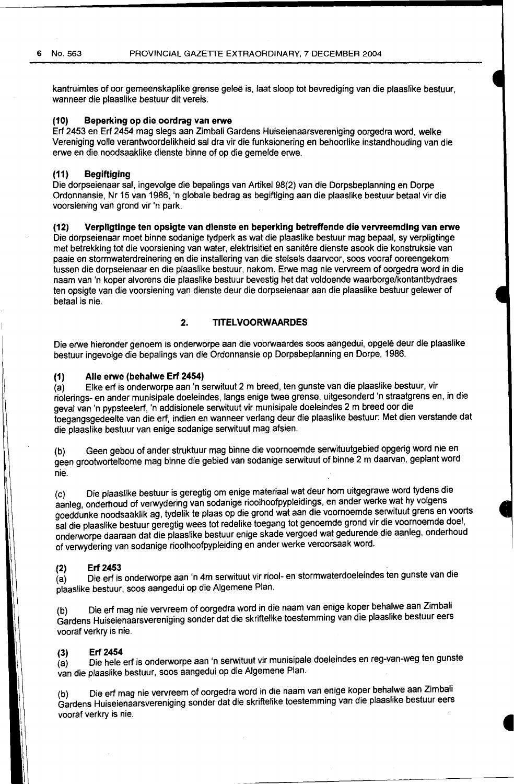kantruimtes of oor gemeenskaplike grense gelee is, laat sloop tot bevrediging van die plaaslike bestuur, wanneer die plaaslike bestuur dit vereis.

# **(10) Beperking op die oordrag van erwe**

Erf 2453 en Erf 2454 mag slegs aan Zimbali Gardens Huiseienaarsvereniging oorgedra word, welke Vereniging valle verantwoordelikheid sal dra vir die funksionering en behoorlike instandhouding van die erwe en die noodsaaklike dienste binne of op die gemelde erwe.

#### **(11) Begiftiging**

Die dorpseienaar sal, ingevolge die bepalings van Artikel 98(2) van die Dorpsbeplanning en Dorpe Ordonnansie, Nr 15 van 1986, 'n globale bedrag as begiftiging aan die plaaslike bestuur betaal vir die voorsiening van grond vir 'n park.

### **(12) Verpligtinge ten opsigte van dienste en beperking betreffende die vervreemding van erwe**

Die dorpseienaar moet binne sodanige tydperk as wat die plaaslike bestuur mag bepaal, sy verpligtinge met betrekking tot die voorsiening van water, elektrisitiet en sanitere dienste asook die konstruksie van paaie en stormwaterdreinering en die installering van die stelsels daarvoor, soos vooraf ooreengekom tussen die dorpseienaar en die plaaslike bestuur, nakom. Erwe mag nie vervreem of oorgedra word in die naam van 'n koper alvorens die plaaslike bestuur bevestig het dat voldoende waarborge/kontantbydraes ten opsigte van die voorsiening van dienste deur die dorpseienaar aan die plaaslike bestuur gelewer of betaal is nie.

# **2. TITELVOORWAARDES**

Die erwe hieronder genoem is onderworpe aan die voorwaardes soos aangedui, opgele deur die plaaslike bestuur ingevolge die bepalings van die Ordonnansie op Dorpsbeplanning en Dorpe, 1986.

#### **(1) Aile erwe (behalwe Erf 2454)**

(a) Elke erf is onderworpe aan 'n serwituut 2m breed, ten gunste van die plaaslike bestuur, vir riolerings- en ander munisipale doeleindes, langs enige twee grense, uitgesonderd 'n straatgrens en, in die geval van 'n pypsteelerf, 'n addisionele serwituut vir munisipale doeleindes 2 m breed oor die toegangsgedeelte van die erf, indien en wanneer verlang deur die plaaslike bestuur: Met dien verstande dat die plaaslike bestuur van enige sodanige serwituut mag afsien.

(b) Geen gebou of ander struktuur mag binne die voornoemde serwituutgebied opgerig word nie en geen grootwortelbome mag binne die gebied van sodanige serwituut of binne 2m daarvan, geplant word nie.

(c) Die plaaslike bestuur is geregtig om enige materiaal wat deur hom uitgegrawe word tydens die aanleg, onderhoud of verwydering van sodanige rioolhoofpypleidings, en ander werke wat hy volgens goeddunke noodsaaklik ag, tydelik te plaas op die grond wat aan die voornoemde serwituut grens en voorts sal die plaaslike bestuur geregtig wees tot redelike toegang tot genoemde grond vir die voornoemde doel, onderworpe daaraan dat die plaaslike bestuur enige skade vergoed wat gedurende die aanleg, onderhoud of verwydering van sodanige rioolhoofpypleiding en ander werke veroorsaak word.

#### **(2) Erf 2453**

(a) Die erf is onderworpe aan 'n 4m serwituut vir riool- en stormwaterdoeleindes ten gunste van die plaaslike bestuur, soos aangedui op die Algemene Plan.

(b) Die erf mag nie vervreem of oorgedra word in die naam van enige koper behalwe aan Zimbali Gardens Huiseienaarsvereniging sonder dat die skriftelike toestemming van die plaaslike bestuur eers vooraf verkry is nie.

### **(3) Erf 2454**

(a) Die hele erf is onderworpe aan 'n serwituut vir munisipale doeleindes en reg-van-weg ten gunste van die plaaslike bestuur, soos aangedui op die Algemene Plan.

(b) Die erf mag nie vervreem of oorgedra word in die naam van enige koper behalwe aan Zimbali Gardens Huiseienaarsvereniging sander dat die skriftelike toestemming van die plaaslike bestuur eers vooraf verkry is nie.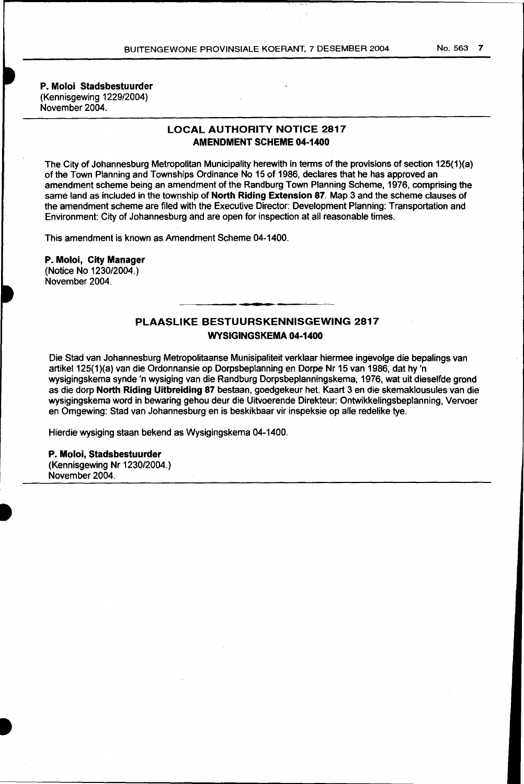P. Moloi Stadsbestuurder (Kennisgewing 1229/2004) November 2004.

# LOCAL AUTHORITY NOTICE 2817 AMENDMENT SCHEME 04-1400

The City of Johannesburg Metropolitan Municipality herewith in terms of the provisions of section 125(1 )(a) of the Town Planning and Townships Ordinance No 15 of 1986, declares that he has approved an amendment scheme being an amendment of the Randburg Town Planning Scheme, 1976, comprising the same land as included in the township of North Riding Extension 87. Map 3 and the scheme clauses of the amendment scheme are filed with the Executive Director: Development Planning: Transportation and Environment: City of Johannesburg and are open for inspection at all reasonable times.

This amendment is known as Amendment Scheme 04-1400.

P. Moloi, City Manager (Notice No 1230/2004.) November 2004.

# PLAASLIKE BESTUURSKENNISGEWING 2817 WYSIGINGSKEMA 04-1400

--.

Die Stad van Johannesburg Metropolitaanse Munisipaliteit verklaar hiermee ingevolge die bepalings van artikel 125(1)(a) van die Ordonnansie op Dorpsbeplanning en Dorpe Nr 15 van 1986, dat hy 'n wysigingskema synde 'n wysiging van die Randburg Dorpsbeplanningskema, 1976, wat uit dieselfde grand as die dorp North Riding Uitbreiding 87 bestaan, goedgekeur het. Kaart 3 en die skemaklousules van die wysigingskema word in bewaring gehou deur die Uitvoerende Direkteur: Ontwikkelingsbeplanning, Vervoer en Omgewing: Stad van Johannesburg en is beskikbaar vir inspeksie op aile redelike tye.

Hierdie wysiging staan bekend as Wysigingskema 04-1400.

#### P. Moloi, Stadsbestuurder

(Kennisgewing Nr 1230/2004.) November 2004.

No. 563 7